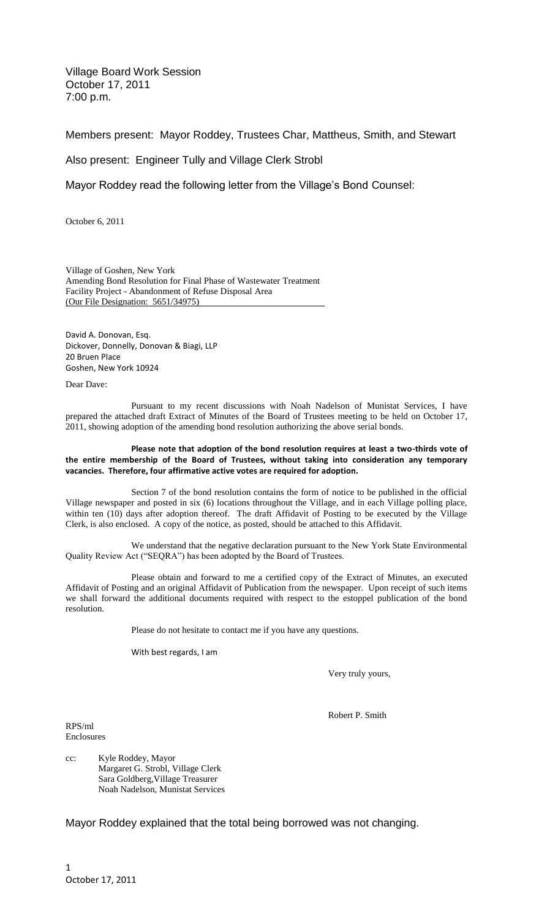Village Board Work Session October 17, 2011 7:00 p.m.

Members present: Mayor Roddey, Trustees Char, Mattheus, Smith, and Stewart

Also present: Engineer Tully and Village Clerk Strobl

Mayor Roddey read the following letter from the Village's Bond Counsel:

October 6, 2011

Village of Goshen, New York Amending Bond Resolution for Final Phase of Wastewater Treatment Facility Project - Abandonment of Refuse Disposal Area (Our File Designation: 5651/34975)

David A. Donovan, Esq. Dickover, Donnelly, Donovan & Biagi, LLP 20 Bruen Place Goshen, New York 10924

Dear Dave:

Pursuant to my recent discussions with Noah Nadelson of Munistat Services, I have prepared the attached draft Extract of Minutes of the Board of Trustees meeting to be held on October 17, 2011, showing adoption of the amending bond resolution authorizing the above serial bonds.

**Please note that adoption of the bond resolution requires at least a two-thirds vote of the entire membership of the Board of Trustees, without taking into consideration any temporary vacancies. Therefore, four affirmative active votes are required for adoption.**

Section 7 of the bond resolution contains the form of notice to be published in the official Village newspaper and posted in six (6) locations throughout the Village, and in each Village polling place, within ten (10) days after adoption thereof. The draft Affidavit of Posting to be executed by the Village Clerk, is also enclosed. A copy of the notice, as posted, should be attached to this Affidavit.

We understand that the negative declaration pursuant to the New York State Environmental Quality Review Act ("SEQRA") has been adopted by the Board of Trustees.

Please obtain and forward to me a certified copy of the Extract of Minutes, an executed Affidavit of Posting and an original Affidavit of Publication from the newspaper. Upon receipt of such items we shall forward the additional documents required with respect to the estoppel publication of the bond resolution.

Please do not hesitate to contact me if you have any questions.

With best regards, I am

Very truly yours,

RPS/ml Enclosures Robert P. Smith

cc: Kyle Roddey, Mayor Margaret G. Strobl, Village Clerk Sara Goldberg,Village Treasurer Noah Nadelson, Munistat Services

Mayor Roddey explained that the total being borrowed was not changing.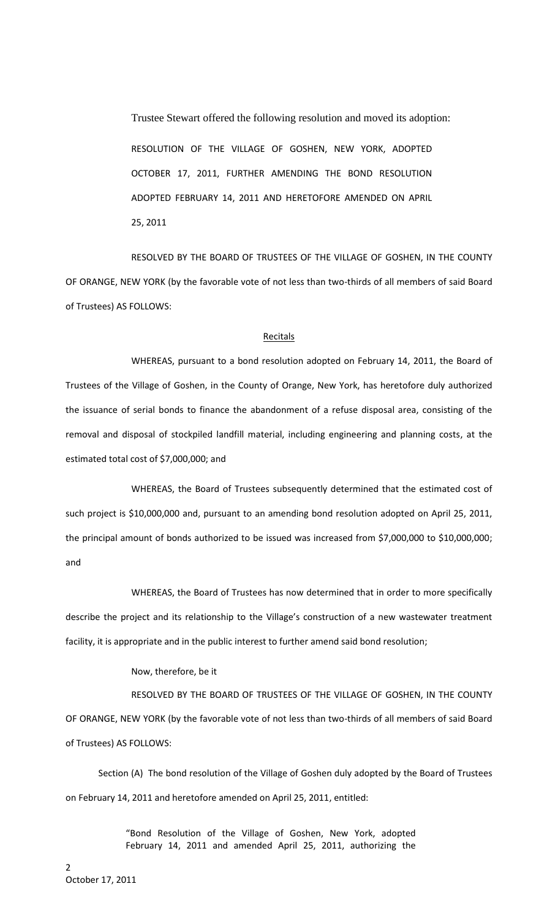Trustee Stewart offered the following resolution and moved its adoption: RESOLUTION OF THE VILLAGE OF GOSHEN, NEW YORK, ADOPTED OCTOBER 17, 2011, FURTHER AMENDING THE BOND RESOLUTION ADOPTED FEBRUARY 14, 2011 AND HERETOFORE AMENDED ON APRIL 25, 2011

RESOLVED BY THE BOARD OF TRUSTEES OF THE VILLAGE OF GOSHEN, IN THE COUNTY OF ORANGE, NEW YORK (by the favorable vote of not less than two-thirds of all members of said Board of Trustees) AS FOLLOWS:

#### **Recitals**

WHEREAS, pursuant to a bond resolution adopted on February 14, 2011, the Board of Trustees of the Village of Goshen, in the County of Orange, New York, has heretofore duly authorized the issuance of serial bonds to finance the abandonment of a refuse disposal area, consisting of the removal and disposal of stockpiled landfill material, including engineering and planning costs, at the estimated total cost of \$7,000,000; and

WHEREAS, the Board of Trustees subsequently determined that the estimated cost of such project is \$10,000,000 and, pursuant to an amending bond resolution adopted on April 25, 2011, the principal amount of bonds authorized to be issued was increased from \$7,000,000 to \$10,000,000; and

WHEREAS, the Board of Trustees has now determined that in order to more specifically describe the project and its relationship to the Village's construction of a new wastewater treatment facility, it is appropriate and in the public interest to further amend said bond resolution;

#### Now, therefore, be it

RESOLVED BY THE BOARD OF TRUSTEES OF THE VILLAGE OF GOSHEN, IN THE COUNTY OF ORANGE, NEW YORK (by the favorable vote of not less than two-thirds of all members of said Board of Trustees) AS FOLLOWS:

Section (A) The bond resolution of the Village of Goshen duly adopted by the Board of Trustees on February 14, 2011 and heretofore amended on April 25, 2011, entitled:

> "Bond Resolution of the Village of Goshen, New York, adopted February 14, 2011 and amended April 25, 2011, authorizing the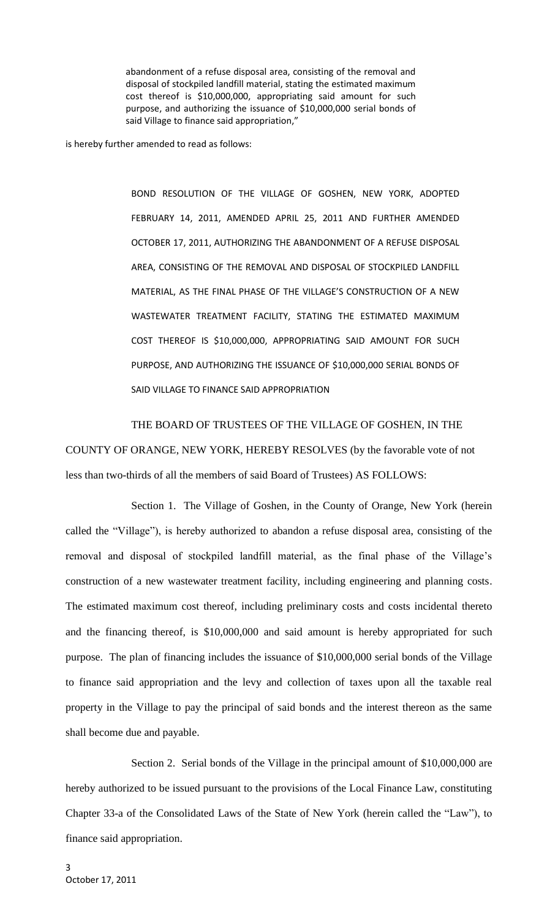abandonment of a refuse disposal area, consisting of the removal and disposal of stockpiled landfill material, stating the estimated maximum cost thereof is \$10,000,000, appropriating said amount for such purpose, and authorizing the issuance of \$10,000,000 serial bonds of said Village to finance said appropriation,"

is hereby further amended to read as follows:

BOND RESOLUTION OF THE VILLAGE OF GOSHEN, NEW YORK, ADOPTED FEBRUARY 14, 2011, AMENDED APRIL 25, 2011 AND FURTHER AMENDED OCTOBER 17, 2011, AUTHORIZING THE ABANDONMENT OF A REFUSE DISPOSAL AREA, CONSISTING OF THE REMOVAL AND DISPOSAL OF STOCKPILED LANDFILL MATERIAL, AS THE FINAL PHASE OF THE VILLAGE'S CONSTRUCTION OF A NEW WASTEWATER TREATMENT FACILITY, STATING THE ESTIMATED MAXIMUM COST THEREOF IS \$10,000,000, APPROPRIATING SAID AMOUNT FOR SUCH PURPOSE, AND AUTHORIZING THE ISSUANCE OF \$10,000,000 SERIAL BONDS OF SAID VILLAGE TO FINANCE SAID APPROPRIATION

### THE BOARD OF TRUSTEES OF THE VILLAGE OF GOSHEN, IN THE

COUNTY OF ORANGE, NEW YORK, HEREBY RESOLVES (by the favorable vote of not less than two-thirds of all the members of said Board of Trustees) AS FOLLOWS:

Section 1. The Village of Goshen, in the County of Orange, New York (herein called the "Village"), is hereby authorized to abandon a refuse disposal area, consisting of the removal and disposal of stockpiled landfill material, as the final phase of the Village's construction of a new wastewater treatment facility, including engineering and planning costs. The estimated maximum cost thereof, including preliminary costs and costs incidental thereto and the financing thereof, is \$10,000,000 and said amount is hereby appropriated for such purpose. The plan of financing includes the issuance of \$10,000,000 serial bonds of the Village to finance said appropriation and the levy and collection of taxes upon all the taxable real property in the Village to pay the principal of said bonds and the interest thereon as the same shall become due and payable.

Section 2. Serial bonds of the Village in the principal amount of \$10,000,000 are hereby authorized to be issued pursuant to the provisions of the Local Finance Law, constituting Chapter 33-a of the Consolidated Laws of the State of New York (herein called the "Law"), to finance said appropriation.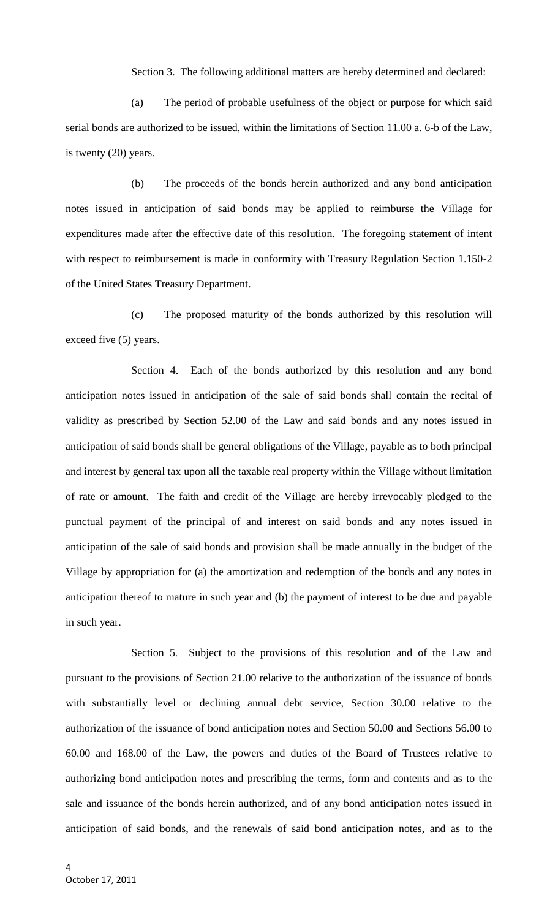Section 3. The following additional matters are hereby determined and declared:

(a) The period of probable usefulness of the object or purpose for which said serial bonds are authorized to be issued, within the limitations of Section 11.00 a. 6-b of the Law, is twenty (20) years.

(b) The proceeds of the bonds herein authorized and any bond anticipation notes issued in anticipation of said bonds may be applied to reimburse the Village for expenditures made after the effective date of this resolution. The foregoing statement of intent with respect to reimbursement is made in conformity with Treasury Regulation Section 1.150-2 of the United States Treasury Department.

(c) The proposed maturity of the bonds authorized by this resolution will exceed five (5) years.

Section 4. Each of the bonds authorized by this resolution and any bond anticipation notes issued in anticipation of the sale of said bonds shall contain the recital of validity as prescribed by Section 52.00 of the Law and said bonds and any notes issued in anticipation of said bonds shall be general obligations of the Village, payable as to both principal and interest by general tax upon all the taxable real property within the Village without limitation of rate or amount. The faith and credit of the Village are hereby irrevocably pledged to the punctual payment of the principal of and interest on said bonds and any notes issued in anticipation of the sale of said bonds and provision shall be made annually in the budget of the Village by appropriation for (a) the amortization and redemption of the bonds and any notes in anticipation thereof to mature in such year and (b) the payment of interest to be due and payable in such year.

Section 5. Subject to the provisions of this resolution and of the Law and pursuant to the provisions of Section 21.00 relative to the authorization of the issuance of bonds with substantially level or declining annual debt service, Section 30.00 relative to the authorization of the issuance of bond anticipation notes and Section 50.00 and Sections 56.00 to 60.00 and 168.00 of the Law, the powers and duties of the Board of Trustees relative to authorizing bond anticipation notes and prescribing the terms, form and contents and as to the sale and issuance of the bonds herein authorized, and of any bond anticipation notes issued in anticipation of said bonds, and the renewals of said bond anticipation notes, and as to the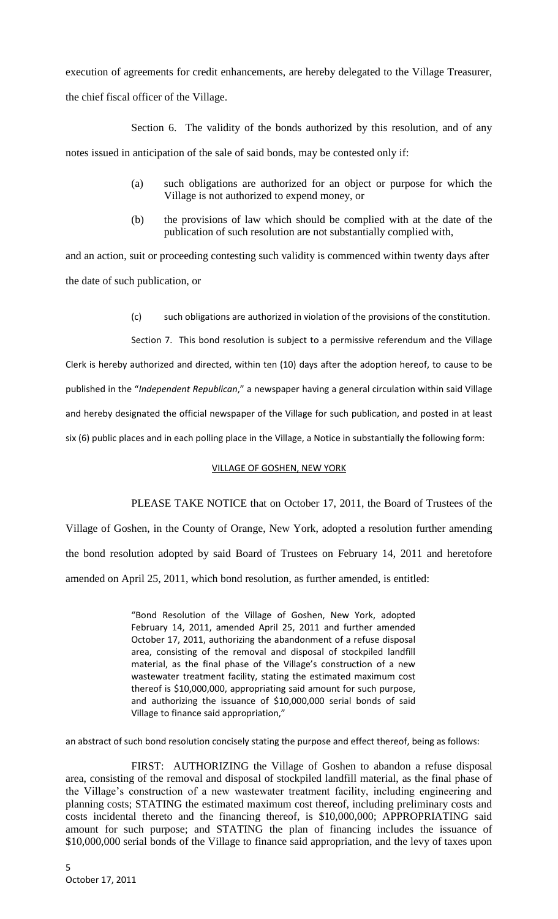execution of agreements for credit enhancements, are hereby delegated to the Village Treasurer, the chief fiscal officer of the Village.

Section 6. The validity of the bonds authorized by this resolution, and of any notes issued in anticipation of the sale of said bonds, may be contested only if:

- (a) such obligations are authorized for an object or purpose for which the Village is not authorized to expend money, or
- (b) the provisions of law which should be complied with at the date of the publication of such resolution are not substantially complied with,

and an action, suit or proceeding contesting such validity is commenced within twenty days after the date of such publication, or

(c) such obligations are authorized in violation of the provisions of the constitution.

Section 7. This bond resolution is subject to a permissive referendum and the Village Clerk is hereby authorized and directed, within ten (10) days after the adoption hereof, to cause to be published in the "*Independent Republican*," a newspaper having a general circulation within said Village and hereby designated the official newspaper of the Village for such publication, and posted in at least six (6) public places and in each polling place in the Village, a Notice in substantially the following form:

# VILLAGE OF GOSHEN, NEW YORK

PLEASE TAKE NOTICE that on October 17, 2011, the Board of Trustees of the Village of Goshen, in the County of Orange, New York, adopted a resolution further amending

the bond resolution adopted by said Board of Trustees on February 14, 2011 and heretofore amended on April 25, 2011, which bond resolution, as further amended, is entitled:

> "Bond Resolution of the Village of Goshen, New York, adopted February 14, 2011, amended April 25, 2011 and further amended October 17, 2011, authorizing the abandonment of a refuse disposal area, consisting of the removal and disposal of stockpiled landfill material, as the final phase of the Village's construction of a new wastewater treatment facility, stating the estimated maximum cost thereof is \$10,000,000, appropriating said amount for such purpose, and authorizing the issuance of \$10,000,000 serial bonds of said Village to finance said appropriation,"

an abstract of such bond resolution concisely stating the purpose and effect thereof, being as follows:

FIRST: AUTHORIZING the Village of Goshen to abandon a refuse disposal area, consisting of the removal and disposal of stockpiled landfill material, as the final phase of the Village's construction of a new wastewater treatment facility, including engineering and planning costs; STATING the estimated maximum cost thereof, including preliminary costs and costs incidental thereto and the financing thereof, is \$10,000,000; APPROPRIATING said amount for such purpose; and STATING the plan of financing includes the issuance of \$10,000,000 serial bonds of the Village to finance said appropriation, and the levy of taxes upon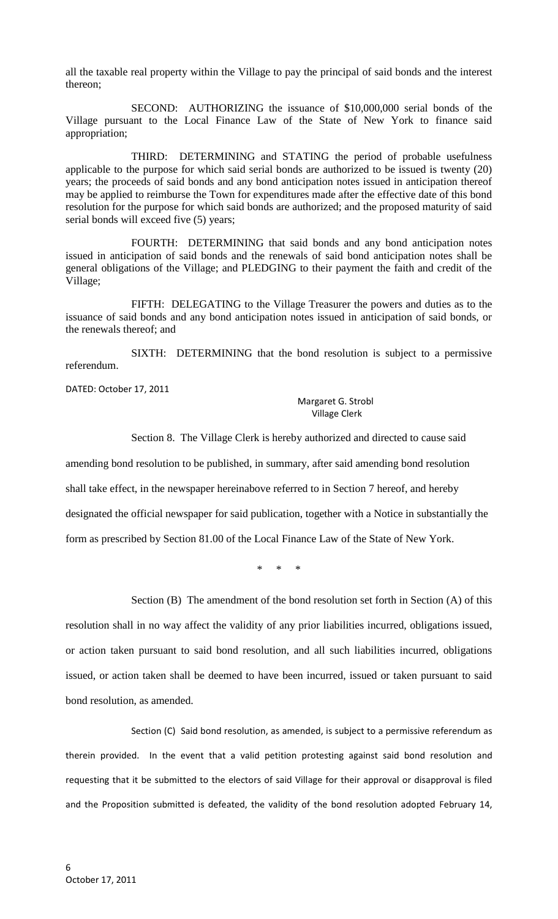all the taxable real property within the Village to pay the principal of said bonds and the interest thereon;

SECOND: AUTHORIZING the issuance of \$10,000,000 serial bonds of the Village pursuant to the Local Finance Law of the State of New York to finance said appropriation;

THIRD: DETERMINING and STATING the period of probable usefulness applicable to the purpose for which said serial bonds are authorized to be issued is twenty (20) years; the proceeds of said bonds and any bond anticipation notes issued in anticipation thereof may be applied to reimburse the Town for expenditures made after the effective date of this bond resolution for the purpose for which said bonds are authorized; and the proposed maturity of said serial bonds will exceed five (5) years;

FOURTH: DETERMINING that said bonds and any bond anticipation notes issued in anticipation of said bonds and the renewals of said bond anticipation notes shall be general obligations of the Village; and PLEDGING to their payment the faith and credit of the Village;

FIFTH: DELEGATING to the Village Treasurer the powers and duties as to the issuance of said bonds and any bond anticipation notes issued in anticipation of said bonds, or the renewals thereof; and

SIXTH: DETERMINING that the bond resolution is subject to a permissive referendum.

DATED: October 17, 2011

### Margaret G. Strobl Village Clerk

Section 8. The Village Clerk is hereby authorized and directed to cause said

amending bond resolution to be published, in summary, after said amending bond resolution

shall take effect, in the newspaper hereinabove referred to in Section 7 hereof, and hereby

designated the official newspaper for said publication, together with a Notice in substantially the

form as prescribed by Section 81.00 of the Local Finance Law of the State of New York.

\* \* \*

Section (B) The amendment of the bond resolution set forth in Section (A) of this

resolution shall in no way affect the validity of any prior liabilities incurred, obligations issued, or action taken pursuant to said bond resolution, and all such liabilities incurred, obligations issued, or action taken shall be deemed to have been incurred, issued or taken pursuant to said bond resolution, as amended.

Section (C) Said bond resolution, as amended, is subject to a permissive referendum as therein provided. In the event that a valid petition protesting against said bond resolution and requesting that it be submitted to the electors of said Village for their approval or disapproval is filed and the Proposition submitted is defeated, the validity of the bond resolution adopted February 14,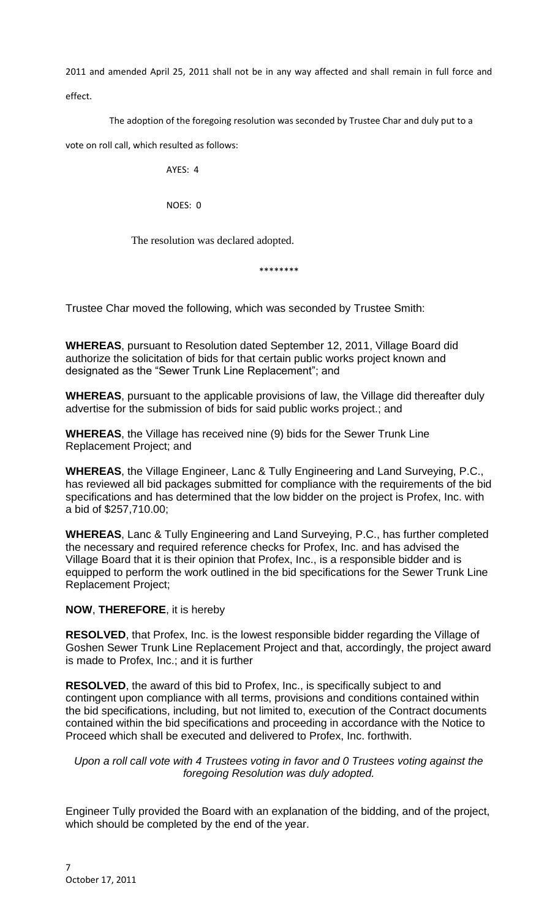2011 and amended April 25, 2011 shall not be in any way affected and shall remain in full force and effect.

The adoption of the foregoing resolution was seconded by Trustee Char and duly put to a

vote on roll call, which resulted as follows:

AYES: 4

NOES: 0

The resolution was declared adopted.

\*\*\*\*\*\*\*\*

Trustee Char moved the following, which was seconded by Trustee Smith:

**WHEREAS**, pursuant to Resolution dated September 12, 2011, Village Board did authorize the solicitation of bids for that certain public works project known and designated as the "Sewer Trunk Line Replacement"; and

**WHEREAS**, pursuant to the applicable provisions of law, the Village did thereafter duly advertise for the submission of bids for said public works project.; and

**WHEREAS**, the Village has received nine (9) bids for the Sewer Trunk Line Replacement Project; and

**WHEREAS**, the Village Engineer, Lanc & Tully Engineering and Land Surveying, P.C., has reviewed all bid packages submitted for compliance with the requirements of the bid specifications and has determined that the low bidder on the project is Profex, Inc. with a bid of \$257,710.00;

**WHEREAS**, Lanc & Tully Engineering and Land Surveying, P.C., has further completed the necessary and required reference checks for Profex, Inc. and has advised the Village Board that it is their opinion that Profex, Inc., is a responsible bidder and is equipped to perform the work outlined in the bid specifications for the Sewer Trunk Line Replacement Project;

# **NOW**, **THEREFORE**, it is hereby

**RESOLVED**, that Profex, Inc. is the lowest responsible bidder regarding the Village of Goshen Sewer Trunk Line Replacement Project and that, accordingly, the project award is made to Profex, Inc.; and it is further

**RESOLVED**, the award of this bid to Profex, Inc., is specifically subject to and contingent upon compliance with all terms, provisions and conditions contained within the bid specifications, including, but not limited to, execution of the Contract documents contained within the bid specifications and proceeding in accordance with the Notice to Proceed which shall be executed and delivered to Profex, Inc. forthwith.

*Upon a roll call vote with 4 Trustees voting in favor and 0 Trustees voting against the foregoing Resolution was duly adopted.*

Engineer Tully provided the Board with an explanation of the bidding, and of the project, which should be completed by the end of the year.